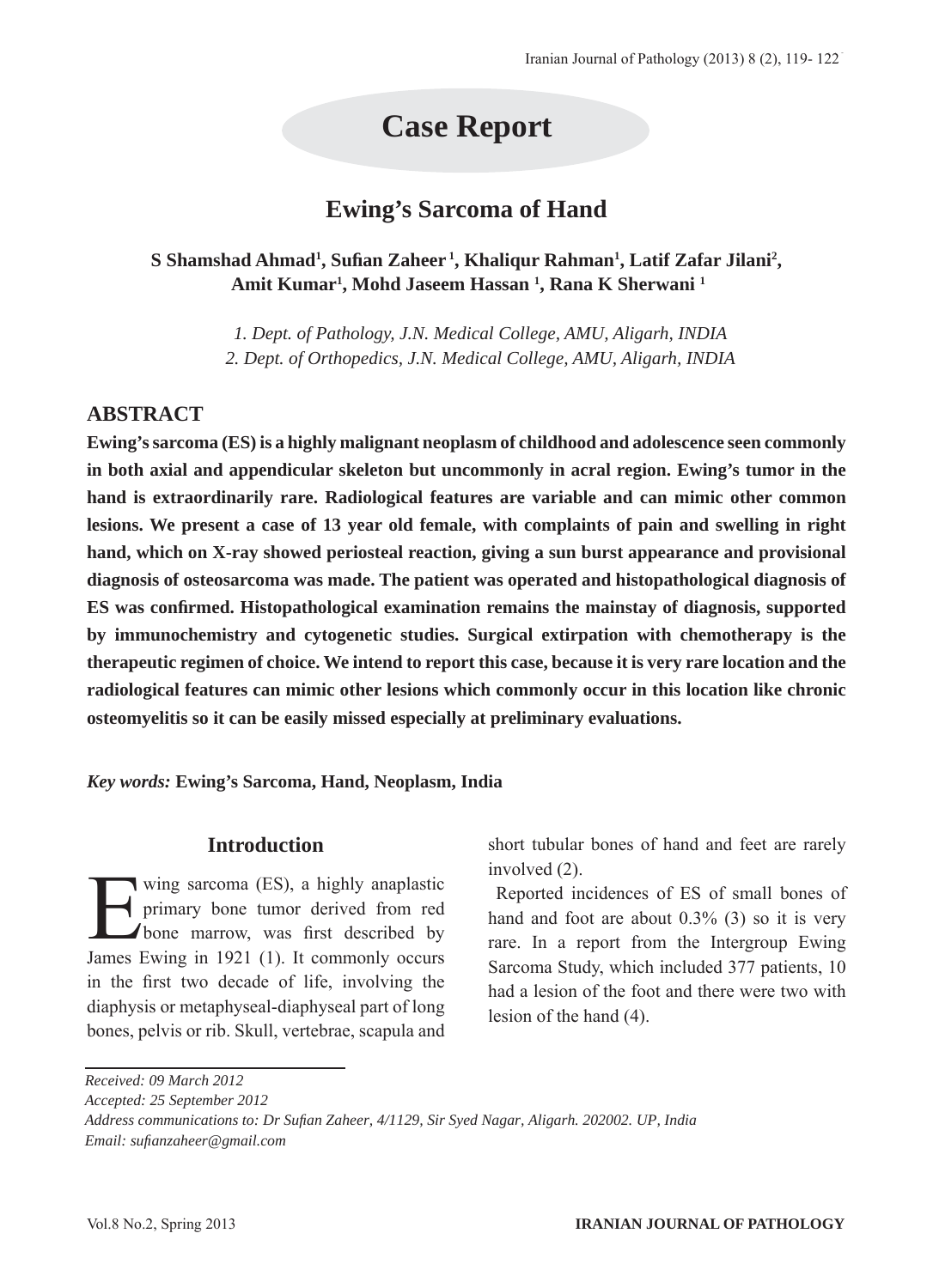# **Case Report**

## **Ewing's Sarcoma of Hand**

## **S Shamshad Ahmad1 , Sufian Zaheer 1, Khaliqur Rahman1 , Latif Zafar Jilani2 , Amit Kumar1 , Mohd Jaseem Hassan 1 , Rana K Sherwani 1**

*1. Dept. of Pathology, J.N. Medical College, AMU, Aligarh, INDIA 2. Dept. of Orthopedics, J.N. Medical College, AMU, Aligarh, INDIA*

## **ABSTRACT**

**Ewing's sarcoma (ES) is a highly malignant neoplasm of childhood and adolescence seen commonly in both axial and appendicular skeleton but uncommonly in acral region. Ewing's tumor in the hand is extraordinarily rare. Radiological features are variable and can mimic other common lesions. We present a case of 13 year old female, with complaints of pain and swelling in right hand, which on X-ray showed periosteal reaction, giving a sun burst appearance and provisional diagnosis of osteosarcoma was made. The patient was operated and histopathological diagnosis of ES was confirmed. Histopathological examination remains the mainstay of diagnosis, supported by immunochemistry and cytogenetic studies. Surgical extirpation with chemotherapy is the therapeutic regimen of choice. We intend to report this case, because it is very rare location and the radiological features can mimic other lesions which commonly occur in this location like chronic osteomyelitis so it can be easily missed especially at preliminary evaluations.** 

*Key words:* **Ewing's Sarcoma, Hand, Neoplasm, India**

#### **Introduction**

wing sarcoma (ES), a highly anaplastic<br>primary bone tumor derived from red<br>bone marrow, was first described by primary bone tumor derived from red bone marrow, was first described by James Ewing in 1921 (1). It commonly occurs in the first two decade of life, involving the diaphysis or metaphyseal-diaphyseal part of long bones, pelvis or rib. Skull, vertebrae, scapula and

short tubular bones of hand and feet are rarely involved (2).

 Reported incidences of ES of small bones of hand and foot are about 0.3% (3) so it is very rare. In a report from the Intergroup Ewing Sarcoma Study, which included 377 patients, 10 had a lesion of the foot and there were two with lesion of the hand (4).

*Received: 09 March 2012*

*Accepted: 25 September 2012*

*Address communications to: Dr Sufian Zaheer, 4/1129, Sir Syed Nagar, Aligarh. 202002. UP, India Email: sufianzaheer@gmail.com*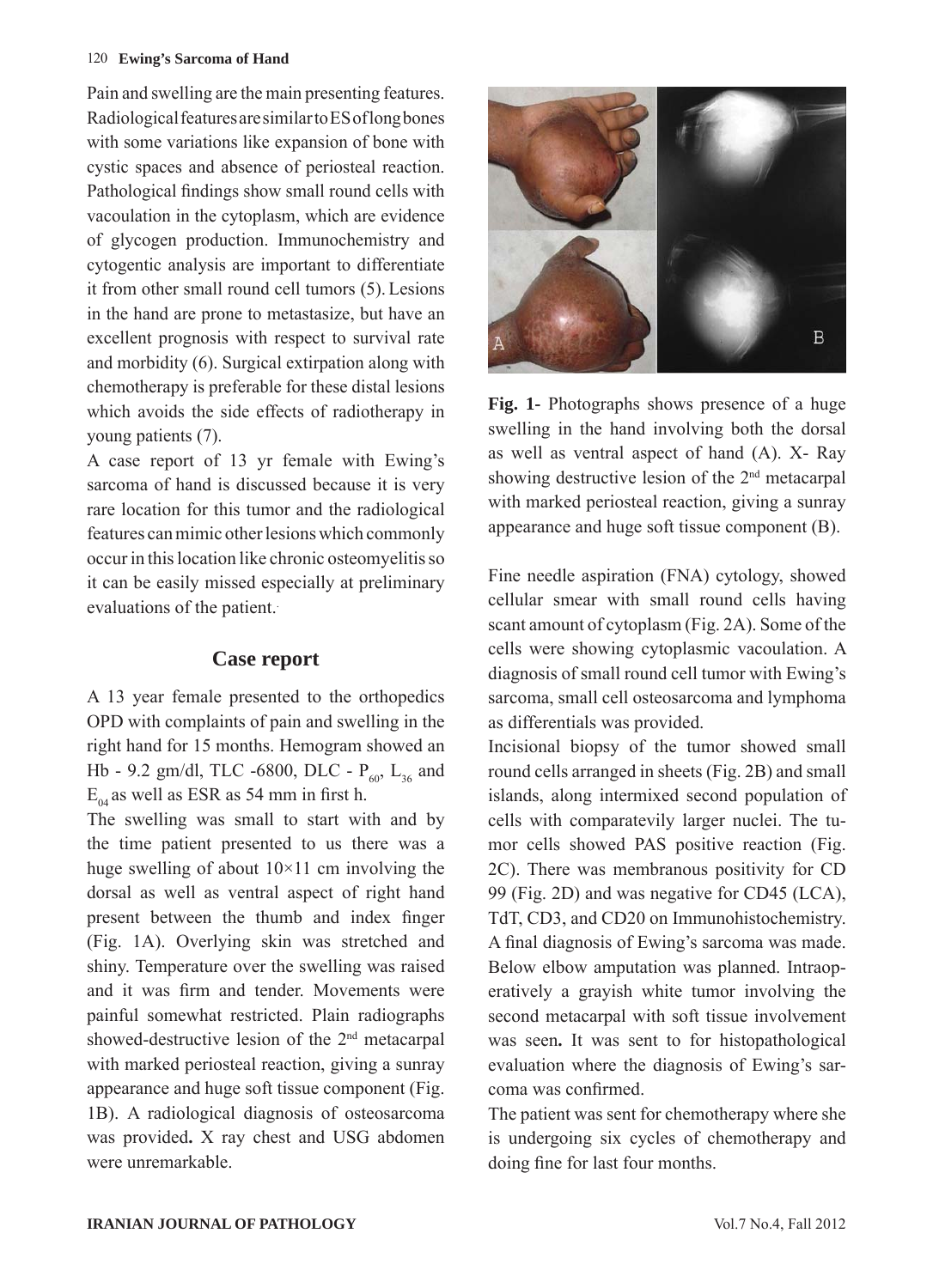#### 120 **Ewing's Sarcoma of Hand**

Pain and swelling are the main presenting features. Radiological features are similar to ES of long bones with some variations like expansion of bone with cystic spaces and absence of periosteal reaction. Pathological findings show small round cells with vacoulation in the cytoplasm, which are evidence of glycogen production. Immunochemistry and cytogentic analysis are important to differentiate it from other small round cell tumors (5). Lesions in the hand are prone to metastasize, but have an excellent prognosis with respect to survival rate and morbidity (6). Surgical extirpation along with chemotherapy is preferable for these distal lesions which avoids the side effects of radiotherapy in young patients (7).

A case report of 13 yr female with Ewing's sarcoma of hand is discussed because it is very rare location for this tumor and the radiological features can mimic other lesions which commonly occur in this location like chronic osteomyelitis so it can be easily missed especially at preliminary evaluations of the patient..

## **Case report**

A 13 year female presented to the orthopedics OPD with complaints of pain and swelling in the right hand for 15 months. Hemogram showed an Hb - 9.2 gm/dl, TLC -6800, DLC -  $P_{60}$ ,  $L_{36}$  and  $E_{04}$  as well as ESR as 54 mm in first h.

The swelling was small to start with and by the time patient presented to us there was a huge swelling of about  $10\times11$  cm involving the dorsal as well as ventral aspect of right hand present between the thumb and index finger (Fig. 1A). Overlying skin was stretched and shiny. Temperature over the swelling was raised and it was firm and tender. Movements were painful somewhat restricted. Plain radiographs showed-destructive lesion of the 2nd metacarpal with marked periosteal reaction, giving a sunray appearance and huge soft tissue component (Fig. 1B). A radiological diagnosis of osteosarcoma was provided**.** X ray chest and USG abdomen were unremarkable.



**Fig. 1-** Photographs shows presence of a huge swelling in the hand involving both the dorsal as well as ventral aspect of hand (A). X- Ray showing destructive lesion of the 2<sup>nd</sup> metacarpal with marked periosteal reaction, giving a sunray appearance and huge soft tissue component (B).

Fine needle aspiration (FNA) cytology, showed cellular smear with small round cells having scant amount of cytoplasm (Fig. 2A). Some of the cells were showing cytoplasmic vacoulation. A diagnosis of small round cell tumor with Ewing's sarcoma, small cell osteosarcoma and lymphoma as differentials was provided.

Incisional biopsy of the tumor showed small round cells arranged in sheets (Fig. 2B) and small islands, along intermixed second population of cells with comparatevily larger nuclei. The tumor cells showed PAS positive reaction (Fig. 2C). There was membranous positivity for CD 99 (Fig. 2D) and was negative for CD45 (LCA), TdT, CD3, and CD20 on Immunohistochemistry. A final diagnosis of Ewing's sarcoma was made. Below elbow amputation was planned. Intraoperatively a grayish white tumor involving the second metacarpal with soft tissue involvement was seen**.** It was sent to for histopathological evaluation where the diagnosis of Ewing's sarcoma was confirmed.

The patient was sent for chemotherapy where she is undergoing six cycles of chemotherapy and doing fine for last four months.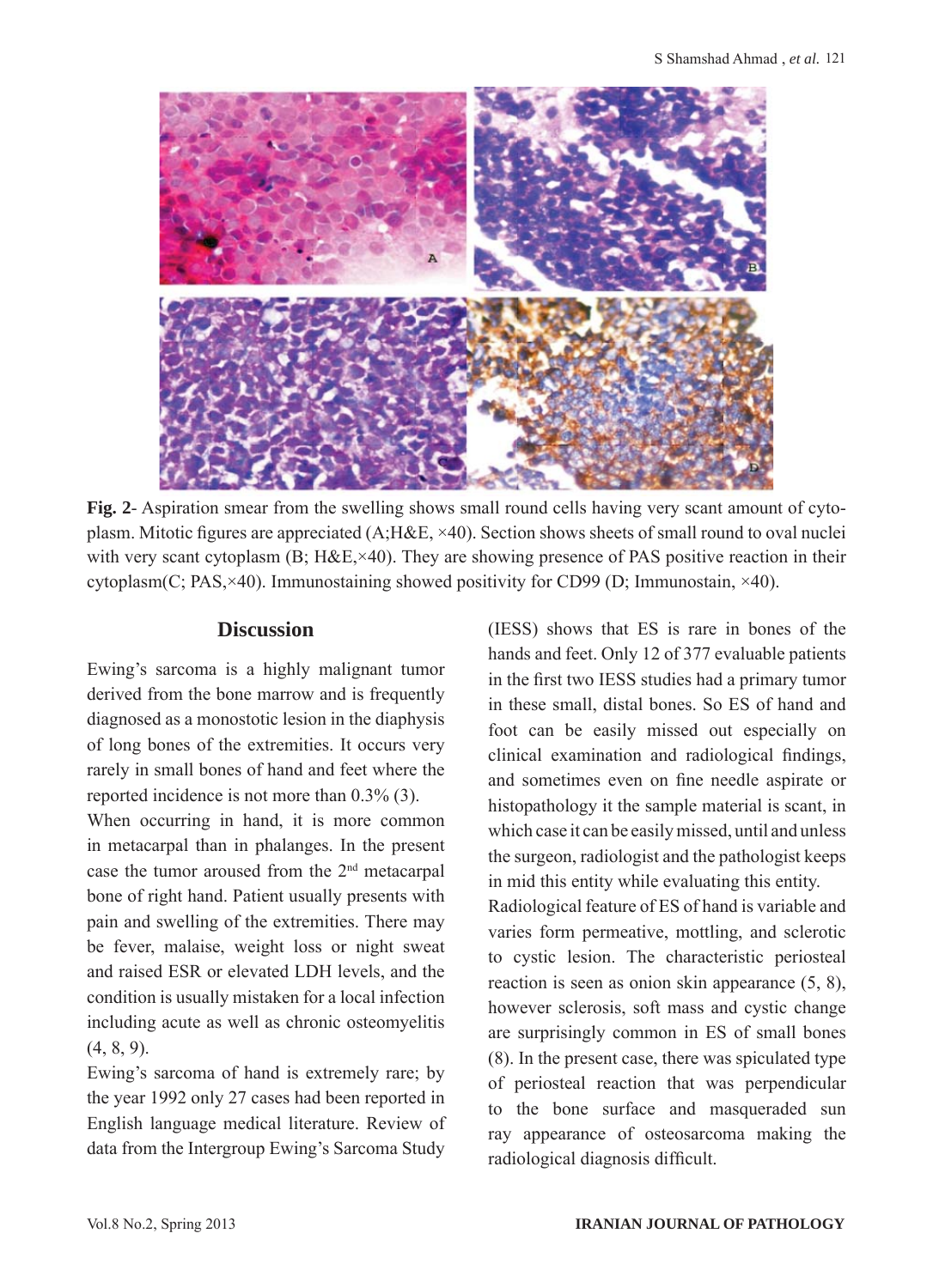

**Fig. 2**- Aspiration smear from the swelling shows small round cells having very scant amount of cytoplasm. Mitotic figures are appreciated (A;H&E, ×40). Section shows sheets of small round to oval nuclei with very scant cytoplasm (B; H&E,  $\times$ 40). They are showing presence of PAS positive reaction in their cytoplasm(C; PAS, $\times$ 40). Immunostaining showed positivity for CD99 (D; Immunostain,  $\times$ 40).

#### **Discussion**

Ewing's sarcoma is a highly malignant tumor derived from the bone marrow and is frequently diagnosed as a monostotic lesion in the diaphysis of long bones of the extremities. It occurs very rarely in small bones of hand and feet where the reported incidence is not more than 0.3% (3).

When occurring in hand, it is more common in metacarpal than in phalanges. In the present case the tumor aroused from the 2nd metacarpal bone of right hand. Patient usually presents with pain and swelling of the extremities. There may be fever, malaise, weight loss or night sweat and raised ESR or elevated LDH levels, and the condition is usually mistaken for a local infection including acute as well as chronic osteomyelitis (4, 8, 9).

Ewing's sarcoma of hand is extremely rare; by the year 1992 only 27 cases had been reported in English language medical literature. Review of data from the Intergroup Ewing's Sarcoma Study (IESS) shows that ES is rare in bones of the hands and feet. Only 12 of 377 evaluable patients in the first two IESS studies had a primary tumor in these small, distal bones. So ES of hand and foot can be easily missed out especially on clinical examination and radiological findings, and sometimes even on fine needle aspirate or histopathology it the sample material is scant, in which case it can be easily missed, until and unless the surgeon, radiologist and the pathologist keeps in mid this entity while evaluating this entity.

Radiological feature of ES of hand is variable and varies form permeative, mottling, and sclerotic to cystic lesion. The characteristic periosteal reaction is seen as onion skin appearance (5, 8), however sclerosis, soft mass and cystic change are surprisingly common in ES of small bones (8). In the present case, there was spiculated type of periosteal reaction that was perpendicular to the bone surface and masqueraded sun ray appearance of osteosarcoma making the radiological diagnosis difficult.